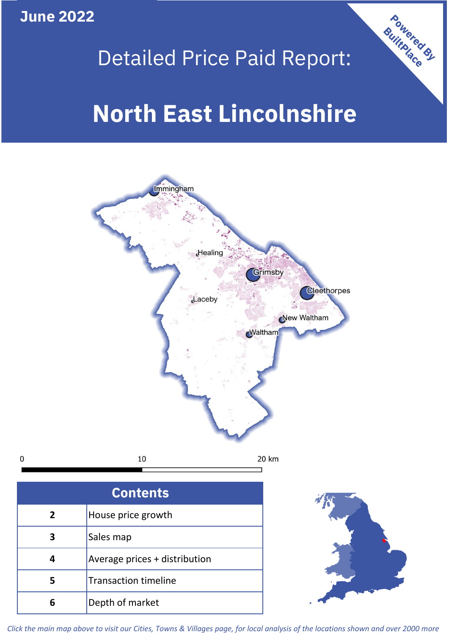**June 2022**

**5**

**4**



## Detailed Price Paid Report:

# **North East Lincolnshire**



*Click the main map above to visit our Cities, Towns & Villages page, for local analysis of the locations shown and over 2000 more*

Average prices + distribution

Transaction timeline

**6** Depth of market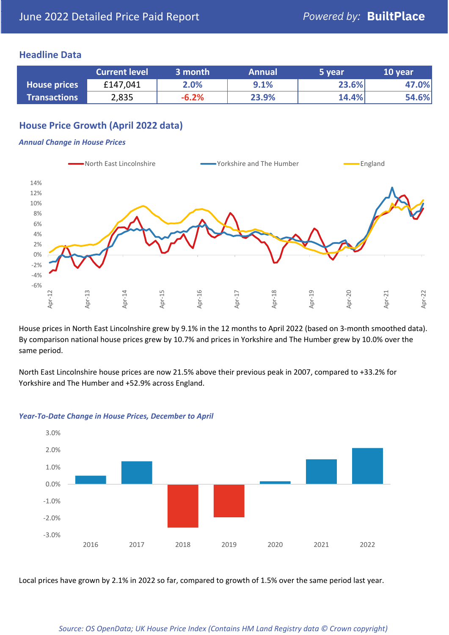## **Headline Data**

|                     | <b>Current level</b> | 3 month | <b>Annual</b> | 5 year | 10 year |
|---------------------|----------------------|---------|---------------|--------|---------|
| <b>House prices</b> | £147,041             | 2.0%    | 9.1%          | 23.6%  | 47.0%   |
| <b>Transactions</b> | 2,835                | $-6.2%$ | 23.9%         | 14.4%  | 54.6%   |

## **House Price Growth (April 2022 data)**

#### *Annual Change in House Prices*



House prices in North East Lincolnshire grew by 9.1% in the 12 months to April 2022 (based on 3-month smoothed data). By comparison national house prices grew by 10.7% and prices in Yorkshire and The Humber grew by 10.0% over the same period.

North East Lincolnshire house prices are now 21.5% above their previous peak in 2007, compared to +33.2% for Yorkshire and The Humber and +52.9% across England.



#### *Year-To-Date Change in House Prices, December to April*

Local prices have grown by 2.1% in 2022 so far, compared to growth of 1.5% over the same period last year.

#### *Source: OS OpenData; UK House Price Index (Contains HM Land Registry data © Crown copyright)*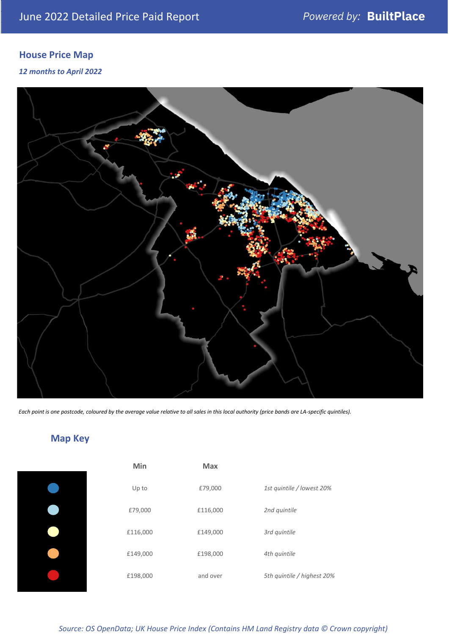## **House Price Map**

### *12 months to April 2022*



*Each point is one postcode, coloured by the average value relative to all sales in this local authority (price bands are LA-specific quintiles).*

## **Map Key**

| Min      | <b>Max</b> |                            |
|----------|------------|----------------------------|
| Up to    | £79,000    | 1st quintile / lowest 20%  |
| £79,000  | £116,000   | 2nd quintile               |
| £116,000 | £149,000   | 3rd quintile               |
| £149,000 | £198,000   | 4th quintile               |
| £198,000 | and over   | 5th quintile / highest 20% |

*Source: OS OpenData; UK House Price Index (Contains HM Land Registry data © Crown copyright)*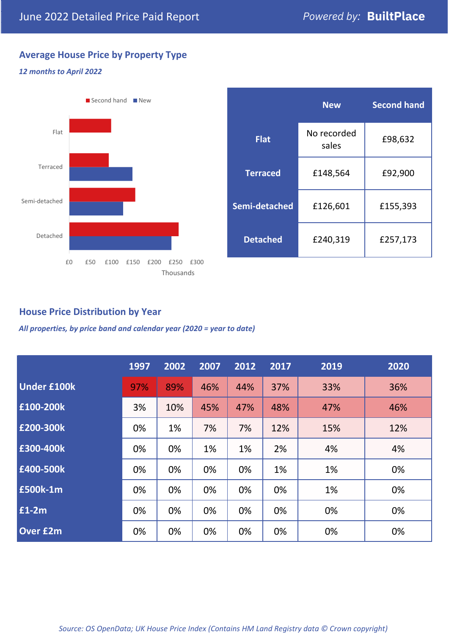## **Average House Price by Property Type**

#### *12 months to April 2022*



|                 | <b>New</b>           | <b>Second hand</b> |  |  |
|-----------------|----------------------|--------------------|--|--|
| <b>Flat</b>     | No recorded<br>sales | £98,632            |  |  |
| <b>Terraced</b> | £148,564             | £92,900            |  |  |
| Semi-detached   | £126,601             | £155,393           |  |  |
| <b>Detached</b> | £240,319             | £257,173           |  |  |

## **House Price Distribution by Year**

*All properties, by price band and calendar year (2020 = year to date)*

|                    | 1997 | 2002 | 2007 | 2012 | 2017 | 2019 | 2020 |
|--------------------|------|------|------|------|------|------|------|
| <b>Under £100k</b> | 97%  | 89%  | 46%  | 44%  | 37%  | 33%  | 36%  |
| £100-200k          | 3%   | 10%  | 45%  | 47%  | 48%  | 47%  | 46%  |
| E200-300k          | 0%   | 1%   | 7%   | 7%   | 12%  | 15%  | 12%  |
| £300-400k          | 0%   | 0%   | 1%   | 1%   | 2%   | 4%   | 4%   |
| £400-500k          | 0%   | 0%   | 0%   | 0%   | 1%   | 1%   | 0%   |
| <b>£500k-1m</b>    | 0%   | 0%   | 0%   | 0%   | 0%   | 1%   | 0%   |
| $£1-2m$            | 0%   | 0%   | 0%   | 0%   | 0%   | 0%   | 0%   |
| <b>Over £2m</b>    | 0%   | 0%   | 0%   | 0%   | 0%   | 0%   | 0%   |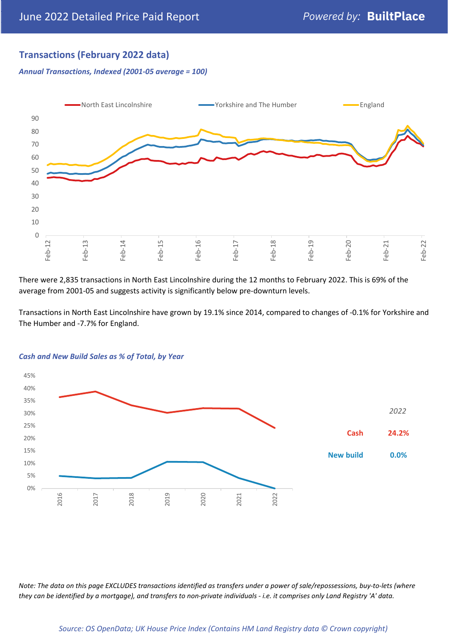## **Transactions (February 2022 data)**

*Annual Transactions, Indexed (2001-05 average = 100)*



There were 2,835 transactions in North East Lincolnshire during the 12 months to February 2022. This is 69% of the average from 2001-05 and suggests activity is significantly below pre-downturn levels.

Transactions in North East Lincolnshire have grown by 19.1% since 2014, compared to changes of -0.1% for Yorkshire and The Humber and -7.7% for England.



#### *Cash and New Build Sales as % of Total, by Year*

*Note: The data on this page EXCLUDES transactions identified as transfers under a power of sale/repossessions, buy-to-lets (where they can be identified by a mortgage), and transfers to non-private individuals - i.e. it comprises only Land Registry 'A' data.*